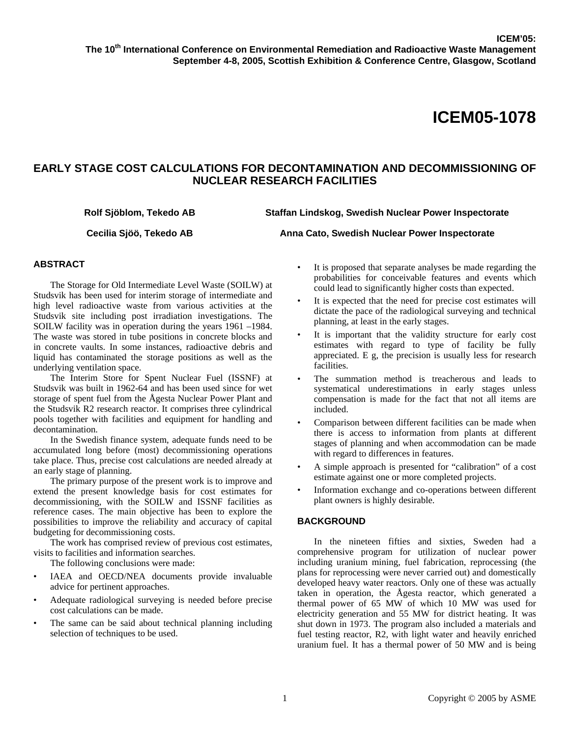# **EARLY STAGE COST CALCULATIONS FOR DECONTAMINATION AND DECOMMISSIONING OF NUCLEAR RESEARCH FACILITIES**

**Rolf Sjöblom, Tekedo AB Staffan Lindskog, Swedish Nuclear Power Inspectorate** 

**Cecilia Sjöö, Tekedo AB Anna Cato, Swedish Nuclear Power Inspectorate** 

# **ABSTRACT**

The Storage for Old Intermediate Level Waste (SOILW) at Studsvik has been used for interim storage of intermediate and high level radioactive waste from various activities at the Studsvik site including post irradiation investigations. The SOILW facility was in operation during the years 1961 –1984. The waste was stored in tube positions in concrete blocks and in concrete vaults. In some instances, radioactive debris and liquid has contaminated the storage positions as well as the underlying ventilation space.

The Interim Store for Spent Nuclear Fuel (ISSNF) at Studsvik was built in 1962-64 and has been used since for wet storage of spent fuel from the Ågesta Nuclear Power Plant and the Studsvik R2 research reactor. It comprises three cylindrical pools together with facilities and equipment for handling and decontamination.

In the Swedish finance system, adequate funds need to be accumulated long before (most) decommissioning operations take place. Thus, precise cost calculations are needed already at an early stage of planning.

The primary purpose of the present work is to improve and extend the present knowledge basis for cost estimates for decommissioning, with the SOILW and ISSNF facilities as reference cases. The main objective has been to explore the possibilities to improve the reliability and accuracy of capital budgeting for decommissioning costs.

The work has comprised review of previous cost estimates, visits to facilities and information searches.

The following conclusions were made:

- IAEA and OECD/NEA documents provide invaluable advice for pertinent approaches.
- Adequate radiological surveying is needed before precise cost calculations can be made.
- The same can be said about technical planning including selection of techniques to be used.
- It is proposed that separate analyses be made regarding the probabilities for conceivable features and events which could lead to significantly higher costs than expected.
- It is expected that the need for precise cost estimates will dictate the pace of the radiological surveying and technical planning, at least in the early stages.
- It is important that the validity structure for early cost estimates with regard to type of facility be fully appreciated. E g, the precision is usually less for research facilities.
- The summation method is treacherous and leads to systematical underestimations in early stages unless compensation is made for the fact that not all items are included.
- Comparison between different facilities can be made when there is access to information from plants at different stages of planning and when accommodation can be made with regard to differences in features.
- A simple approach is presented for "calibration" of a cost estimate against one or more completed projects.
- Information exchange and co-operations between different plant owners is highly desirable.

# **BACKGROUND**

In the nineteen fifties and sixties, Sweden had a comprehensive program for utilization of nuclear power including uranium mining, fuel fabrication, reprocessing (the plans for reprocessing were never carried out) and domestically developed heavy water reactors. Only one of these was actually taken in operation, the Ågesta reactor, which generated a thermal power of 65 MW of which 10 MW was used for electricity generation and 55 MW for district heating. It was shut down in 1973. The program also included a materials and fuel testing reactor, R2, with light water and heavily enriched uranium fuel. It has a thermal power of 50 MW and is being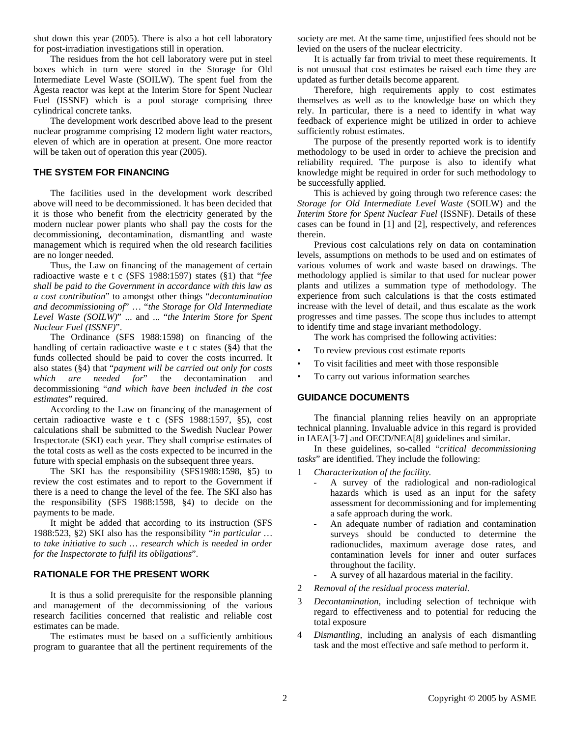shut down this year (2005). There is also a hot cell laboratory for post-irradiation investigations still in operation.

The residues from the hot cell laboratory were put in steel boxes which in turn were stored in the Storage for Old Intermediate Level Waste (SOILW). The spent fuel from the Ågesta reactor was kept at the Interim Store for Spent Nuclear Fuel (ISSNF) which is a pool storage comprising three cylindrical concrete tanks.

The development work described above lead to the present nuclear programme comprising 12 modern light water reactors, eleven of which are in operation at present. One more reactor will be taken out of operation this year (2005).

# **THE SYSTEM FOR FINANCING**

The facilities used in the development work described above will need to be decommissioned. It has been decided that it is those who benefit from the electricity generated by the modern nuclear power plants who shall pay the costs for the decommissioning, decontamination, dismantling and waste management which is required when the old research facilities are no longer needed.

Thus, the Law on financing of the management of certain radioactive waste e t c (SFS 1988:1597) states (§1) that "*fee shall be paid to the Government in accordance with this law as a cost contribution*" to amongst other things "*decontamination and decommissioning of*" … "*the Storage for Old Intermediate Level Waste (SOILW)*" ... and ... "*the Interim Store for Spent Nuclear Fuel (ISSNF)*".

The Ordinance (SFS 1988:1598) on financing of the handling of certain radioactive waste e t c states (§4) that the funds collected should be paid to cover the costs incurred. It also states (§4) that "*payment will be carried out only for costs which are needed for*" the decontamination and decommissioning "*and which have been included in the cost estimates*" required.

According to the Law on financing of the management of certain radioactive waste e t c (SFS 1988:1597, §5), cost calculations shall be submitted to the Swedish Nuclear Power Inspectorate (SKI) each year. They shall comprise estimates of the total costs as well as the costs expected to be incurred in the future with special emphasis on the subsequent three years.

The SKI has the responsibility (SFS1988:1598, §5) to review the cost estimates and to report to the Government if there is a need to change the level of the fee. The SKI also has the responsibility (SFS 1988:1598, §4) to decide on the payments to be made.

It might be added that according to its instruction (SFS 1988:523, §2) SKI also has the responsibility "*in particular … to take initiative to such … research which is needed in order for the Inspectorate to fulfil its obligations*".

# **RATIONALE FOR THE PRESENT WORK**

It is thus a solid prerequisite for the responsible planning and management of the decommissioning of the various research facilities concerned that realistic and reliable cost estimates can be made.

The estimates must be based on a sufficiently ambitious program to guarantee that all the pertinent requirements of the society are met. At the same time, unjustified fees should not be levied on the users of the nuclear electricity.

It is actually far from trivial to meet these requirements. It is not unusual that cost estimates be raised each time they are updated as further details become apparent.

Therefore, high requirements apply to cost estimates themselves as well as to the knowledge base on which they rely. In particular, there is a need to identify in what way feedback of experience might be utilized in order to achieve sufficiently robust estimates.

The purpose of the presently reported work is to identify methodology to be used in order to achieve the precision and reliability required. The purpose is also to identify what knowledge might be required in order for such methodology to be successfully applied.

This is achieved by going through two reference cases: the *Storage for Old Intermediate Level Waste* (SOILW) and the *Interim Store for Spent Nuclear Fuel* (ISSNF). Details of these cases can be found in [1] and [2], respectively, and references therein.

Previous cost calculations rely on data on contamination levels, assumptions on methods to be used and on estimates of various volumes of work and waste based on drawings. The methodology applied is similar to that used for nuclear power plants and utilizes a summation type of methodology. The experience from such calculations is that the costs estimated increase with the level of detail, and thus escalate as the work progresses and time passes. The scope thus includes to attempt to identify time and stage invariant methodology.

The work has comprised the following activities:

- To review previous cost estimate reports
- To visit facilities and meet with those responsible
- To carry out various information searches

#### **GUIDANCE DOCUMENTS**

The financial planning relies heavily on an appropriate technical planning. Invaluable advice in this regard is provided in IAEA[3-7] and OECD/NEA[8] guidelines and similar.

In these guidelines, so-called "*critical decommissioning tasks*" are identified. They include the following:

- 1 *Characterization of the facility.*
	- A survey of the radiological and non-radiological hazards which is used as an input for the safety assessment for decommissioning and for implementing a safe approach during the work.
	- An adequate number of radiation and contamination surveys should be conducted to determine the radionuclides, maximum average dose rates, and contamination levels for inner and outer surfaces throughout the facility.
	- A survey of all hazardous material in the facility.
- 2 *Removal of the residual process material.*
- 3 *Decontamination*, including selection of technique with regard to effectiveness and to potential for reducing the total exposure
- 4 *Dismantling,* including an analysis of each dismantling task and the most effective and safe method to perform it.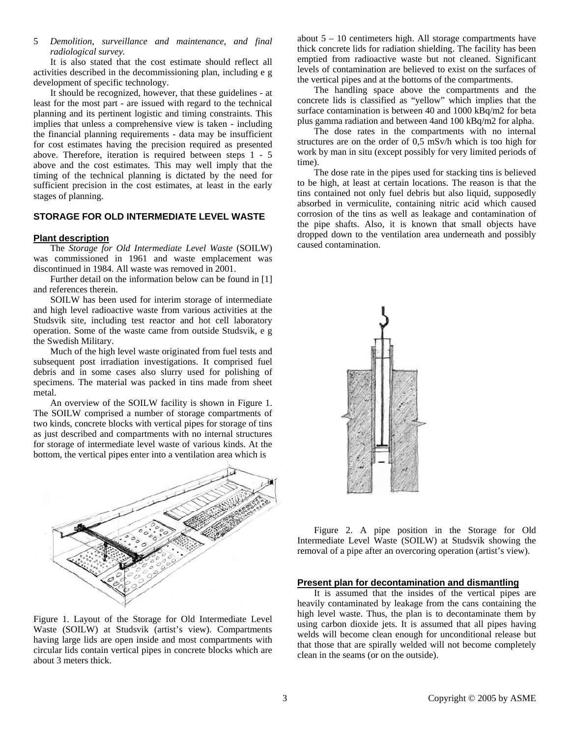5 *Demolition, surveillance and maintenance, and final radiological survey.*

It is also stated that the cost estimate should reflect all activities described in the decommissioning plan, including e g development of specific technology.

It should be recognized, however, that these guidelines - at least for the most part - are issued with regard to the technical planning and its pertinent logistic and timing constraints. This implies that unless a comprehensive view is taken - including the financial planning requirements - data may be insufficient for cost estimates having the precision required as presented above. Therefore, iteration is required between steps 1 - 5 above and the cost estimates. This may well imply that the timing of the technical planning is dictated by the need for sufficient precision in the cost estimates, at least in the early stages of planning.

# **STORAGE FOR OLD INTERMEDIATE LEVEL WASTE**

#### **Plant description**

The *Storage for Old Intermediate Level Waste* (SOILW) was commissioned in 1961 and waste emplacement was discontinued in 1984. All waste was removed in 2001.

Further detail on the information below can be found in [1] and references therein.

SOILW has been used for interim storage of intermediate and high level radioactive waste from various activities at the Studsvik site, including test reactor and hot cell laboratory operation. Some of the waste came from outside Studsvik, e g the Swedish Military.

Much of the high level waste originated from fuel tests and subsequent post irradiation investigations. It comprised fuel debris and in some cases also slurry used for polishing of specimens. The material was packed in tins made from sheet metal.

An overview of the SOILW facility is shown in Figure 1. The SOILW comprised a number of storage compartments of two kinds, concrete blocks with vertical pipes for storage of tins as just described and compartments with no internal structures for storage of intermediate level waste of various kinds. At the bottom, the vertical pipes enter into a ventilation area which is



Figure 1. Layout of the Storage for Old Intermediate Level Waste (SOILW) at Studsvik (artist's view). Compartments having large lids are open inside and most compartments with circular lids contain vertical pipes in concrete blocks which are about 3 meters thick.

about 5 – 10 centimeters high. All storage compartments have thick concrete lids for radiation shielding. The facility has been emptied from radioactive waste but not cleaned. Significant levels of contamination are believed to exist on the surfaces of the vertical pipes and at the bottoms of the compartments.

The handling space above the compartments and the concrete lids is classified as "yellow" which implies that the surface contamination is between 40 and 1000 kBq/m2 for beta plus gamma radiation and between 4and 100 kBq/m2 for alpha.

The dose rates in the compartments with no internal structures are on the order of 0,5 mSv/h which is too high for work by man in situ (except possibly for very limited periods of time).

The dose rate in the pipes used for stacking tins is believed to be high, at least at certain locations. The reason is that the tins contained not only fuel debris but also liquid, supposedly absorbed in vermiculite, containing nitric acid which caused corrosion of the tins as well as leakage and contamination of the pipe shafts. Also, it is known that small objects have dropped down to the ventilation area underneath and possibly caused contamination.



Figure 2. A pipe position in the Storage for Old Intermediate Level Waste (SOILW) at Studsvik showing the removal of a pipe after an overcoring operation (artist's view).

#### **Present plan for decontamination and dismantling**

It is assumed that the insides of the vertical pipes are heavily contaminated by leakage from the cans containing the high level waste. Thus, the plan is to decontaminate them by using carbon dioxide jets. It is assumed that all pipes having welds will become clean enough for unconditional release but that those that are spirally welded will not become completely clean in the seams (or on the outside).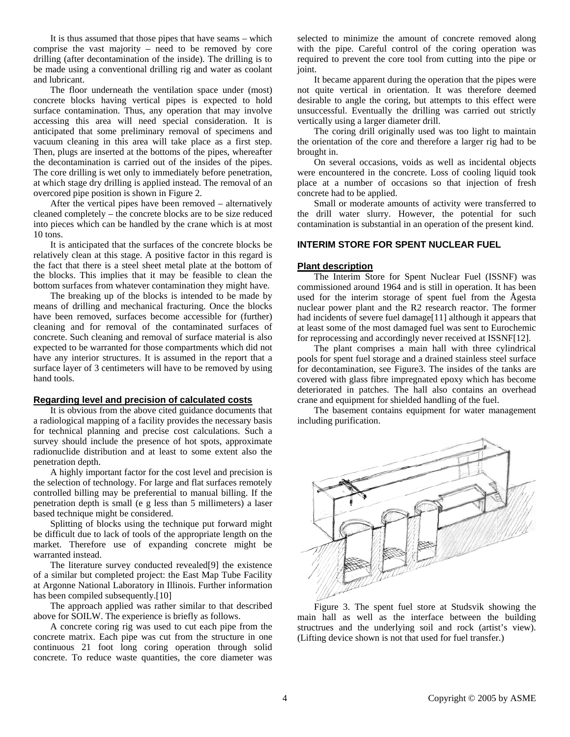It is thus assumed that those pipes that have seams – which comprise the vast majority – need to be removed by core drilling (after decontamination of the inside). The drilling is to be made using a conventional drilling rig and water as coolant and lubricant.

The floor underneath the ventilation space under (most) concrete blocks having vertical pipes is expected to hold surface contamination. Thus, any operation that may involve accessing this area will need special consideration. It is anticipated that some preliminary removal of specimens and vacuum cleaning in this area will take place as a first step. Then, plugs are inserted at the bottoms of the pipes, whereafter the decontamination is carried out of the insides of the pipes. The core drilling is wet only to immediately before penetration, at which stage dry drilling is applied instead. The removal of an overcored pipe position is shown in Figure 2.

After the vertical pipes have been removed – alternatively cleaned completely – the concrete blocks are to be size reduced into pieces which can be handled by the crane which is at most 10 tons.

It is anticipated that the surfaces of the concrete blocks be relatively clean at this stage. A positive factor in this regard is the fact that there is a steel sheet metal plate at the bottom of the blocks. This implies that it may be feasible to clean the bottom surfaces from whatever contamination they might have.

The breaking up of the blocks is intended to be made by means of drilling and mechanical fracturing. Once the blocks have been removed, surfaces become accessible for (further) cleaning and for removal of the contaminated surfaces of concrete. Such cleaning and removal of surface material is also expected to be warranted for those compartments which did not have any interior structures. It is assumed in the report that a surface layer of 3 centimeters will have to be removed by using hand tools.

#### **Regarding level and precision of calculated costs**

It is obvious from the above cited guidance documents that a radiological mapping of a facility provides the necessary basis for technical planning and precise cost calculations. Such a survey should include the presence of hot spots, approximate radionuclide distribution and at least to some extent also the penetration depth.

A highly important factor for the cost level and precision is the selection of technology. For large and flat surfaces remotely controlled billing may be preferential to manual billing. If the penetration depth is small (e g less than 5 millimeters) a laser based technique might be considered.

Splitting of blocks using the technique put forward might be difficult due to lack of tools of the appropriate length on the market. Therefore use of expanding concrete might be warranted instead.

The literature survey conducted revealed[9] the existence of a similar but completed project: the East Map Tube Facility at Argonne National Laboratory in Illinois. Further information has been compiled subsequently.[10]

The approach applied was rather similar to that described above for SOILW. The experience is briefly as follows.

A concrete coring rig was used to cut each pipe from the concrete matrix. Each pipe was cut from the structure in one continuous 21 foot long coring operation through solid concrete. To reduce waste quantities, the core diameter was selected to minimize the amount of concrete removed along with the pipe. Careful control of the coring operation was required to prevent the core tool from cutting into the pipe or ioint.

It became apparent during the operation that the pipes were not quite vertical in orientation. It was therefore deemed desirable to angle the coring, but attempts to this effect were unsuccessful. Eventually the drilling was carried out strictly vertically using a larger diameter drill.

The coring drill originally used was too light to maintain the orientation of the core and therefore a larger rig had to be brought in.

On several occasions, voids as well as incidental objects were encountered in the concrete. Loss of cooling liquid took place at a number of occasions so that injection of fresh concrete had to be applied.

Small or moderate amounts of activity were transferred to the drill water slurry. However, the potential for such contamination is substantial in an operation of the present kind.

# **INTERIM STORE FOR SPENT NUCLEAR FUEL**

### **Plant description**

The Interim Store for Spent Nuclear Fuel (ISSNF) was commissioned around 1964 and is still in operation. It has been used for the interim storage of spent fuel from the Ågesta nuclear power plant and the R2 research reactor. The former had incidents of severe fuel damage[11] although it appears that at least some of the most damaged fuel was sent to Eurochemic for reprocessing and accordingly never received at ISSNF[12].

The plant comprises a main hall with three cylindrical pools for spent fuel storage and a drained stainless steel surface for decontamination, see Figure3. The insides of the tanks are covered with glass fibre impregnated epoxy which has become deteriorated in patches. The hall also contains an overhead crane and equipment for shielded handling of the fuel.

The basement contains equipment for water management including purification.



Figure 3. The spent fuel store at Studsvik showing the main hall as well as the interface between the building structrues and the underlying soil and rock (artist's view). (Lifting device shown is not that used for fuel transfer.)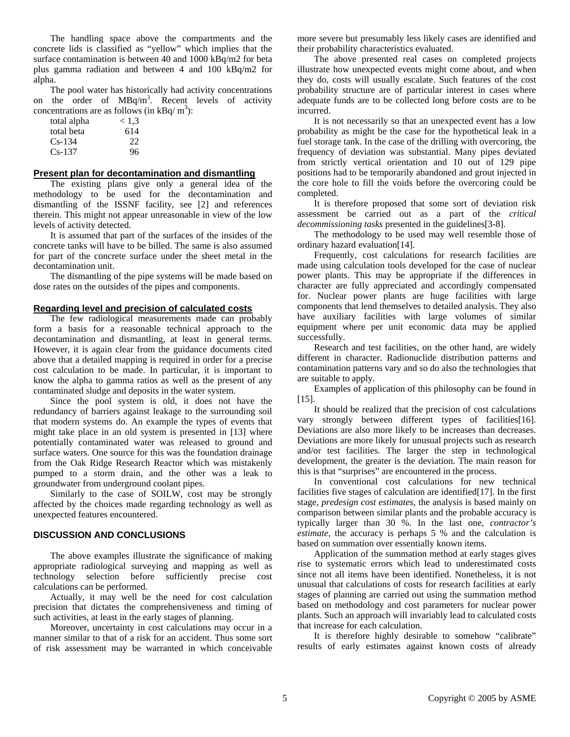The handling space above the compartments and the concrete lids is classified as "yellow" which implies that the surface contamination is between 40 and 1000 kBq/m2 for beta plus gamma radiation and between 4 and 100 kBq/m2 for alpha.

The pool water has historically had activity concentrations on the order of  $MBq/m<sup>3</sup>$ . Recent levels of activity concentrations are as follows (in  $kBq/m^3$ ):

| total alpha | < 1.3 |
|-------------|-------|
| total beta  | 614   |
| $Cs-134$    | 22    |
| $Cs-137$    | 96    |

# **Present plan for decontamination and dismantling**

The existing plans give only a general idea of the methodology to be used for the decontamination and dismantling of the ISSNF facility, see [2] and references therein. This might not appear unreasonable in view of the low levels of activity detected.

It is assumed that part of the surfaces of the insides of the concrete tanks will have to be billed. The same is also assumed for part of the concrete surface under the sheet metal in the decontamination unit.

The dismantling of the pipe systems will be made based on dose rates on the outsides of the pipes and components.

### **Regarding level and precision of calculated costs**

The few radiological measurements made can probably form a basis for a reasonable technical approach to the decontamination and dismantling, at least in general terms. However, it is again clear from the guidance documents cited above that a detailed mapping is required in order for a precise cost calculation to be made. In particular, it is important to know the alpha to gamma ratios as well as the present of any contaminated sludge and deposits in the water system.

Since the pool system is old, it does not have the redundancy of barriers against leakage to the surrounding soil that modern systems do. An example the types of events that might take place in an old system is presented in [13] where potentially contaminated water was released to ground and surface waters. One source for this was the foundation drainage from the Oak Ridge Research Reactor which was mistakenly pumped to a storm drain, and the other was a leak to groundwater from underground coolant pipes.

Similarly to the case of SOILW, cost may be strongly affected by the choices made regarding technology as well as unexpected features encountered.

### **DISCUSSION AND CONCLUSIONS**

The above examples illustrate the significance of making appropriate radiological surveying and mapping as well as technology selection before sufficiently precise cost calculations can be performed.

Actually, it may well be the need for cost calculation precision that dictates the comprehensiveness and timing of such activities, at least in the early stages of planning.

Moreover, uncertainty in cost calculations may occur in a manner similar to that of a risk for an accident. Thus some sort of risk assessment may be warranted in which conceivable

more severe but presumably less likely cases are identified and their probability characteristics evaluated.

The above presented real cases on completed projects illustrate how unexpected events might come about, and when they do, costs will usually escalate. Such features of the cost probability structure are of particular interest in cases where adequate funds are to be collected long before costs are to be incurred.

It is not necessarily so that an unexpected event has a low probability as might be the case for the hypothetical leak in a fuel storage tank. In the case of the drilling with overcoring, the frequency of deviation was substantial. Many pipes deviated from strictly vertical orientation and 10 out of 129 pipe positions had to be temporarily abandoned and grout injected in the core hole to fill the voids before the overcoring could be completed.

It is therefore proposed that some sort of deviation risk assessment be carried out as a part of the *critical decommissioning tasks* presented in the guidelines[3-8].

The methodology to be used may well resemble those of ordinary hazard evaluation[14].

Frequently, cost calculations for research facilities are made using calculation tools developed for the case of nuclear power plants. This may be appropriate if the differences in character are fully appreciated and accordingly compensated for. Nuclear power plants are huge facilities with large components that lend themselves to detailed analysis. They also have auxiliary facilities with large volumes of similar equipment where per unit economic data may be applied successfully.

Research and test facilities, on the other hand, are widely different in character. Radionuclide distribution patterns and contamination patterns vary and so do also the technologies that are suitable to apply.

Examples of application of this philosophy can be found in [15].

It should be realized that the precision of cost calculations vary strongly between different types of facilities[16]. Deviations are also more likely to be increases than decreases. Deviations are more likely for unusual projects such as research and/or test facilities. The larger the step in technological development, the greater is the deviation. The main reason for this is that "surprises" are encountered in the process.

In conventional cost calculations for new technical facilities five stages of calculation are identified[17]. In the first stage, *predesign cost estimates*, the analysis is based mainly on comparison between similar plants and the probable accuracy is typically larger than 30 %. In the last one, *contractor's estimate*, the accuracy is perhaps 5 % and the calculation is based on summation over essentially known items.

Application of the summation method at early stages gives rise to systematic errors which lead to underestimated costs since not all items have been identified. Nonetheless, it is not unusual that calculations of costs for research facilities at early stages of planning are carried out using the summation method based on methodology and cost parameters for nuclear power plants. Such an approach will invariably lead to calculated costs that increase for each calculation.

It is therefore highly desirable to somehow "calibrate" results of early estimates against known costs of already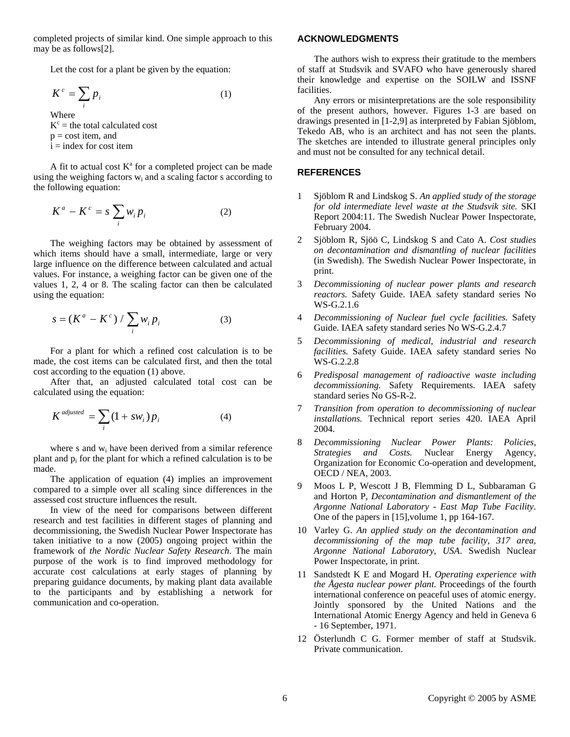completed projects of similar kind. One simple approach to this may be as follows[2].

Let the cost for a plant be given by the equation:

$$
K^c = \sum_i p_i \tag{1}
$$

Where  $K^c$  = the total calculated cost  $p = \text{cost item}$ , and  $i =$  index for cost item

A fit to actual cost  $K^a$  for a completed project can be made using the weighing factors  $w_i$  and a scaling factor s according to the following equation:

$$
K^a - K^c = s \sum_i w_i p_i \tag{2}
$$

The weighing factors may be obtained by assessment of which items should have a small, intermediate, large or very large influence on the difference between calculated and actual values. For instance, a weighing factor can be given one of the values 1, 2, 4 or 8. The scaling factor can then be calculated using the equation:

$$
s = (K^a - K^c) / \sum_i w_i p_i \tag{3}
$$

For a plant for which a refined cost calculation is to be made, the cost items can be calculated first, and then the total cost according to the equation (1) above.

After that, an adjusted calculated total cost can be calculated using the equation:

$$
K^{adjusted} = \sum_{i} (1 + sw_i) p_i \tag{4}
$$

where s and w<sub>i</sub> have been derived from a similar reference plant and  $p_i$  for the plant for which a refined calculation is to be made.

The application of equation (4) implies an improvement compared to a simple over all scaling since differences in the assessed cost structure influences the result.

In view of the need for comparisons between different research and test facilities in different stages of planning and decommissioning, the Swedish Nuclear Power Inspectorate has taken initiative to a now (2005) ongoing project within the framework of *the Nordic Nuclear Safety Research*. The main purpose of the work is to find improved methodology for accurate cost calculations at early stages of planning by preparing guidance documents, by making plant data available to the participants and by establishing a network for communication and co-operation.

# **ACKNOWLEDGMENTS**

The authors wish to express their gratitude to the members of staff at Studsvik and SVAFO who have generously shared their knowledge and expertise on the SOILW and ISSNF facilities.

Any errors or misinterpretations are the sole responsibility of the present authors, however. Figures 1-3 are based on drawings presented in [1-2,9] as interpreted by Fabian Sjöblom, Tekedo AB, who is an architect and has not seen the plants. The sketches are intended to illustrate general principles only and must not be consulted for any technical detail.

# **REFERENCES**

- 1 Sjöblom R and Lindskog S. *An applied study of the storage for old intermediate level waste at the Studsvik site.* SKI Report 2004:11. The Swedish Nuclear Power Inspectorate, February 2004.
- 2 Sjöblom R, Sjöö C, Lindskog S and Cato A. *Cost studies on decontamination and dismantling of nuclear facilities* (in Swedish). The Swedish Nuclear Power Inspectorate, in print.
- 3 *Decommissioning of nuclear power plants and research reactors.* Safety Guide. IAEA safety standard series No WS-G.2.1.6
- 4 *Decommissioning of Nuclear fuel cycle facilities.* Safety Guide. IAEA safety standard series No WS-G.2.4.7
- 5 *Decommissioning of medical, industrial and research facilities.* Safety Guide. IAEA safety standard series No WS-G.2.2.8
- 6 *Predisposal management of radioactive waste including decommissioning.* Safety Requirements. IAEA safety standard series No GS-R-2.
- 7 *Transition from operation to decommissioning of nuclear installations.* Technical report series 420. IAEA April 2004.
- 8 *Decommissioning Nuclear Power Plants: Policies, Strategies and Costs.* Nuclear Energy Agency, Organization for Economic Co-operation and development, OECD / NEA, 2003.
- 9 Moos L P, Wescott J B, Flemming D L, Subbaraman G and Horton P, *Decontamination and dismantlement of the Argonne National Laboratory - East Map Tube Facility*. One of the papers in [15],volume 1, pp 164-167.
- 10 Varley G. *An applied study on the decontamination and decommissioning of the map tube facility, 317 area, Argonne National Laboratory, USA*. Swedish Nuclear Power Inspectorate, in print.
- 11 Sandstedt K E and Mogard H. *Operating experience with the Ågesta nuclear power plant.* Proceedings of the fourth international conference on peaceful uses of atomic energy. Jointly sponsored by the United Nations and the International Atomic Energy Agency and held in Geneva 6 - 16 September, 1971.
- 12 Österlundh C G. Former member of staff at Studsvik. Private communication.